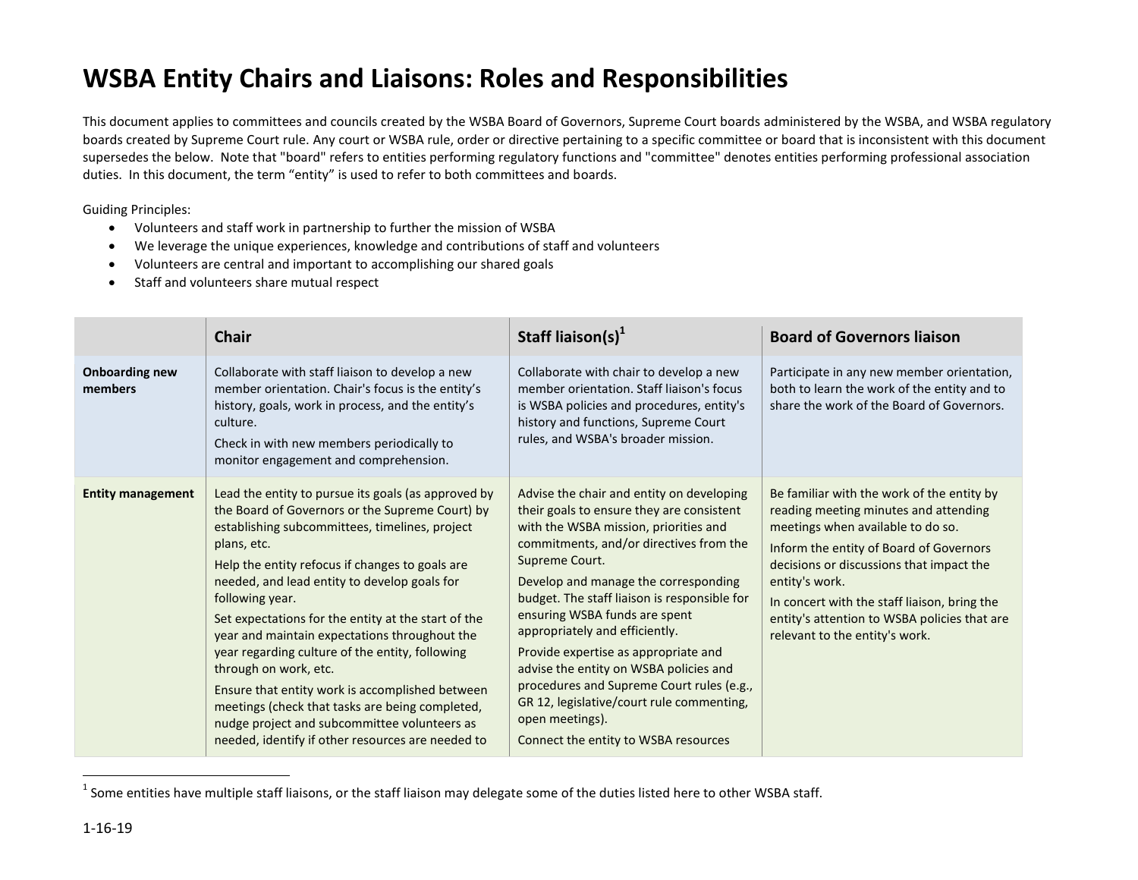## **WSBA Entity Chairs and Liaisons: Roles and Responsibilities**

This document applies to committees and councils created by the WSBA Board of Governors, Supreme Court boards administered by the WSBA, and WSBA regulatory boards created by Supreme Court rule. Any court or WSBA rule, order or directive pertaining to a specific committee or board that is inconsistent with this document supersedes the below. Note that "board" refers to entities performing regulatory functions and "committee" denotes entities performing professional association duties. In this document, the term "entity" is used to refer to both committees and boards.

Guiding Principles:

- Volunteers and staff work in partnership to further the mission of WSBA
- We leverage the unique experiences, knowledge and contributions of staff and volunteers
- Volunteers are central and important to accomplishing our shared goals
- Staff and volunteers share mutual respect

|                                  | <b>Chair</b>                                                                                                                                                                                                                                                                                                                                                                                                                                                                                                                                                                                                                                                                                 | Staff liaison(s) $^1$                                                                                                                                                                                                                                                                                                                                                                                                                                                                                                                                                                          | <b>Board of Governors liaison</b>                                                                                                                                                                                                                                                                                                                                   |
|----------------------------------|----------------------------------------------------------------------------------------------------------------------------------------------------------------------------------------------------------------------------------------------------------------------------------------------------------------------------------------------------------------------------------------------------------------------------------------------------------------------------------------------------------------------------------------------------------------------------------------------------------------------------------------------------------------------------------------------|------------------------------------------------------------------------------------------------------------------------------------------------------------------------------------------------------------------------------------------------------------------------------------------------------------------------------------------------------------------------------------------------------------------------------------------------------------------------------------------------------------------------------------------------------------------------------------------------|---------------------------------------------------------------------------------------------------------------------------------------------------------------------------------------------------------------------------------------------------------------------------------------------------------------------------------------------------------------------|
| <b>Onboarding new</b><br>members | Collaborate with staff liaison to develop a new<br>member orientation. Chair's focus is the entity's<br>history, goals, work in process, and the entity's<br>culture.<br>Check in with new members periodically to<br>monitor engagement and comprehension.                                                                                                                                                                                                                                                                                                                                                                                                                                  | Collaborate with chair to develop a new<br>member orientation. Staff liaison's focus<br>is WSBA policies and procedures, entity's<br>history and functions, Supreme Court<br>rules, and WSBA's broader mission.                                                                                                                                                                                                                                                                                                                                                                                | Participate in any new member orientation,<br>both to learn the work of the entity and to<br>share the work of the Board of Governors.                                                                                                                                                                                                                              |
| <b>Entity management</b>         | Lead the entity to pursue its goals (as approved by<br>the Board of Governors or the Supreme Court) by<br>establishing subcommittees, timelines, project<br>plans, etc.<br>Help the entity refocus if changes to goals are<br>needed, and lead entity to develop goals for<br>following year.<br>Set expectations for the entity at the start of the<br>year and maintain expectations throughout the<br>year regarding culture of the entity, following<br>through on work, etc.<br>Ensure that entity work is accomplished between<br>meetings (check that tasks are being completed,<br>nudge project and subcommittee volunteers as<br>needed, identify if other resources are needed to | Advise the chair and entity on developing<br>their goals to ensure they are consistent<br>with the WSBA mission, priorities and<br>commitments, and/or directives from the<br>Supreme Court.<br>Develop and manage the corresponding<br>budget. The staff liaison is responsible for<br>ensuring WSBA funds are spent<br>appropriately and efficiently.<br>Provide expertise as appropriate and<br>advise the entity on WSBA policies and<br>procedures and Supreme Court rules (e.g.,<br>GR 12, legislative/court rule commenting,<br>open meetings).<br>Connect the entity to WSBA resources | Be familiar with the work of the entity by<br>reading meeting minutes and attending<br>meetings when available to do so.<br>Inform the entity of Board of Governors<br>decisions or discussions that impact the<br>entity's work.<br>In concert with the staff liaison, bring the<br>entity's attention to WSBA policies that are<br>relevant to the entity's work. |

 $^1$  Some entities have multiple staff liaisons, or the staff liaison may delegate some of the duties listed here to other WSBA staff.

 $\overline{a}$